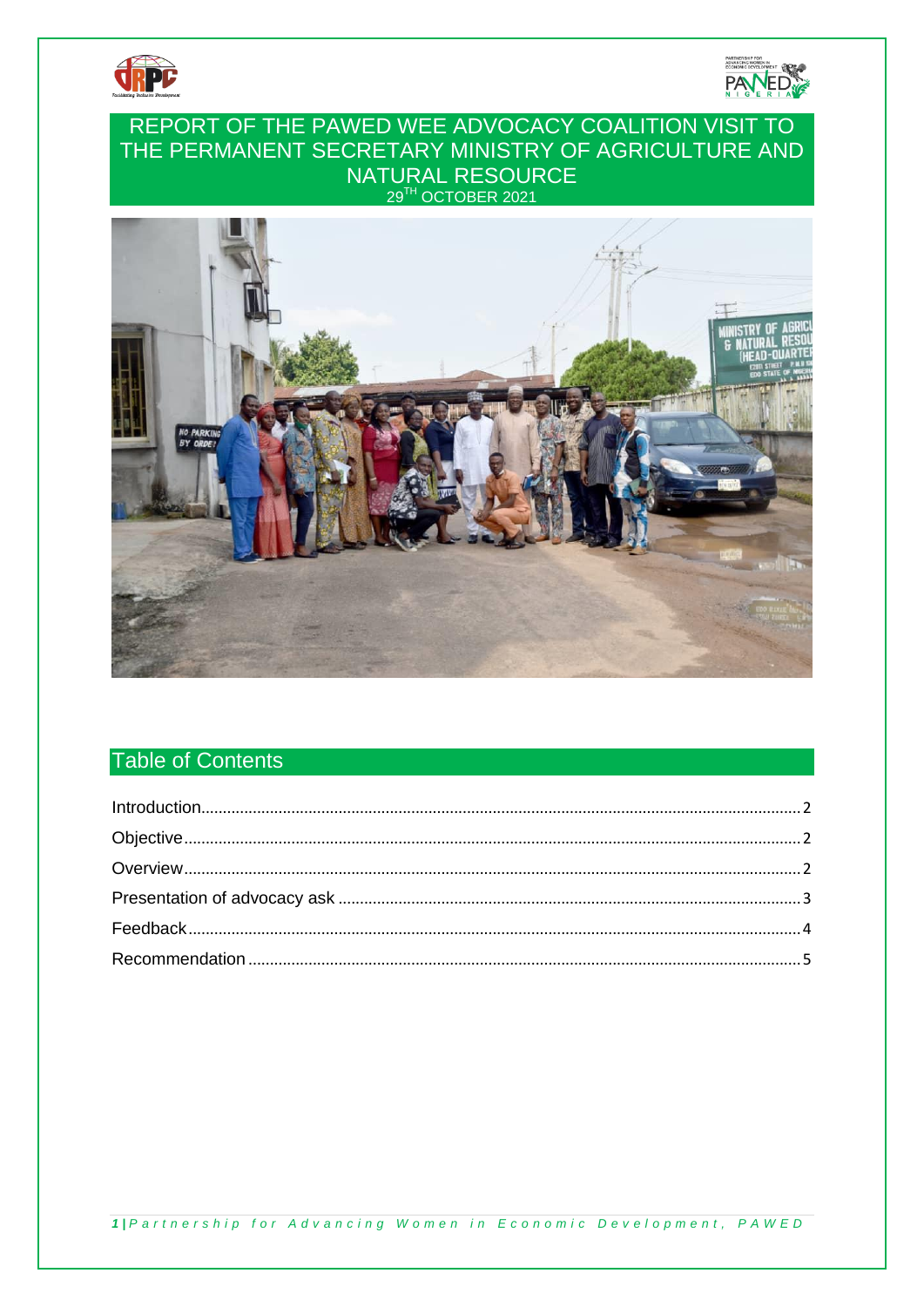



## REPORT OF THE PAWED WEE ADVOCACY COALITION VISIT TO THE PERMANENT SECRETARY MINISTRY OF AGRICULTURE AND NATURAL RESOURCE 29TH OCTOBER 2021



# **Table of Contents**

1 | Partnership for Advancing Women in Economic Development, PAWED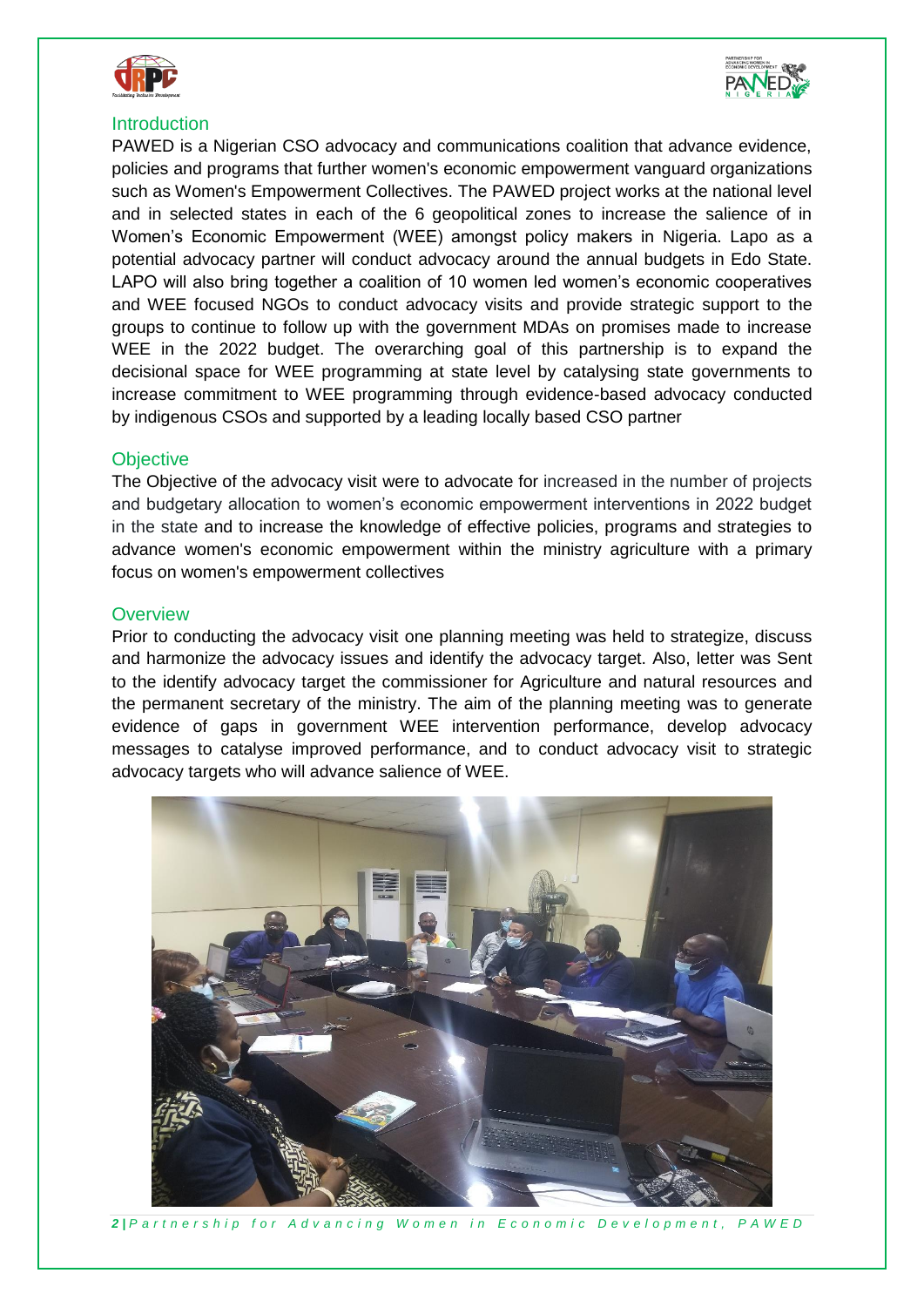



#### <span id="page-1-0"></span>**Introduction**

PAWED is a Nigerian CSO advocacy and communications coalition that advance evidence, policies and programs that further women's economic empowerment vanguard organizations such as Women's Empowerment Collectives. The PAWED project works at the national level and in selected states in each of the 6 geopolitical zones to increase the salience of in Women's Economic Empowerment (WEE) amongst policy makers in Nigeria. Lapo as a potential advocacy partner will conduct advocacy around the annual budgets in Edo State. LAPO will also bring together a coalition of 10 women led women's economic cooperatives and WEE focused NGOs to conduct advocacy visits and provide strategic support to the groups to continue to follow up with the government MDAs on promises made to increase WEE in the 2022 budget. The overarching goal of this partnership is to expand the decisional space for WEE programming at state level by catalysing state governments to increase commitment to WEE programming through evidence-based advocacy conducted by indigenous CSOs and supported by a leading locally based CSO partner

#### <span id="page-1-1"></span>**Objective**

The Objective of the advocacy visit were to advocate for increased in the number of projects and budgetary allocation to women's economic empowerment interventions in 2022 budget in the state and to increase the knowledge of effective policies, programs and strategies to advance women's economic empowerment within the ministry agriculture with a primary focus on women's empowerment collectives

#### <span id="page-1-2"></span>**Overview**

Prior to conducting the advocacy visit one planning meeting was held to strategize, discuss and harmonize the advocacy issues and identify the advocacy target. Also, letter was Sent to the identify advocacy target the commissioner for Agriculture and natural resources and the permanent secretary of the ministry. The aim of the planning meeting was to generate evidence of gaps in government WEE intervention performance, develop advocacy messages to catalyse improved performance, and to conduct advocacy visit to strategic advocacy targets who will advance salience of WEE.



*2 | P a r t n e r s h i p f o r A d v a n c i n g W o m e n i n E c o n o m i c D e v e l o p m e n t , P A W E D*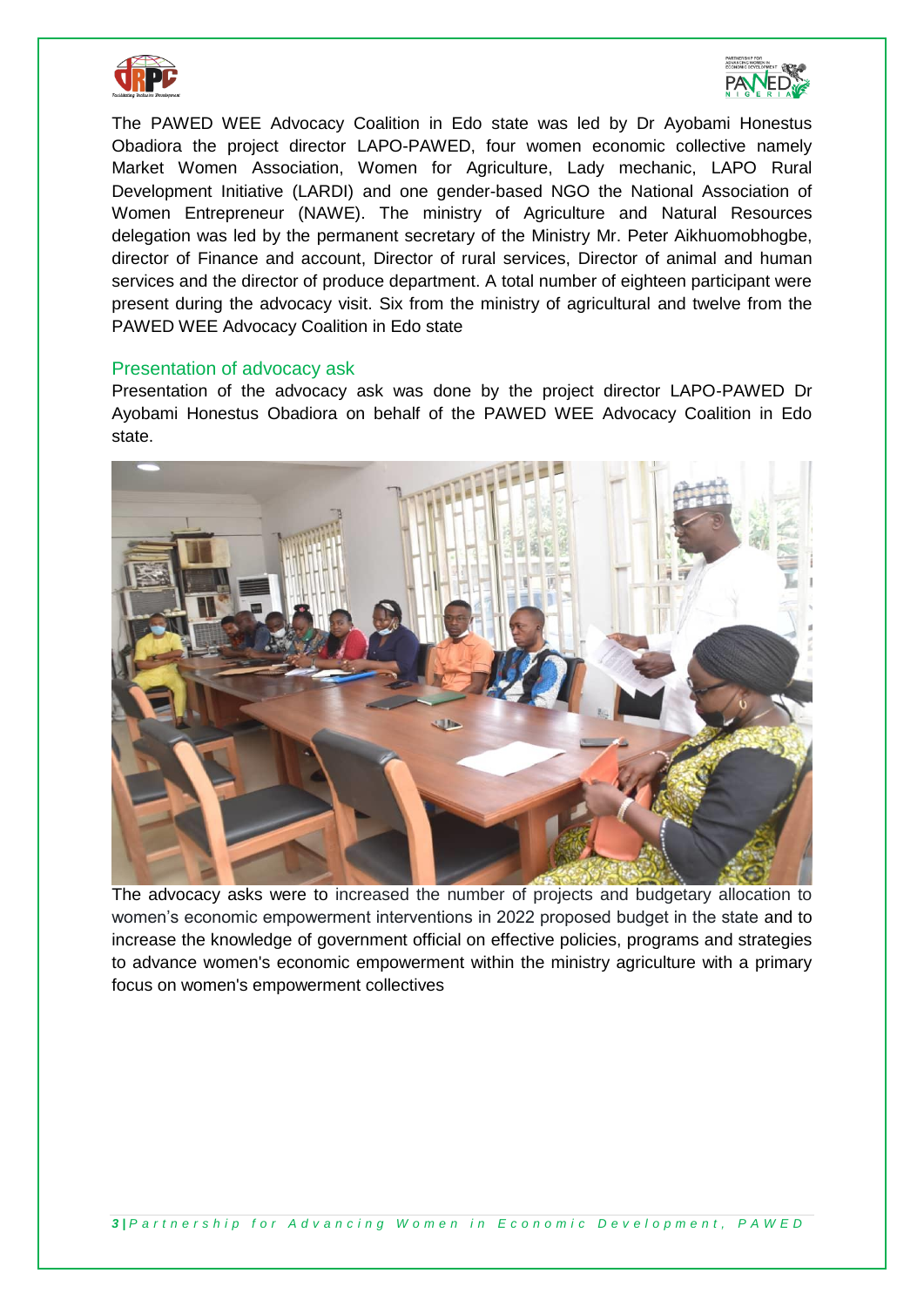



The PAWED WEE Advocacy Coalition in Edo state was led by Dr Ayobami Honestus Obadiora the project director LAPO-PAWED, four women economic collective namely Market Women Association, Women for Agriculture, Lady mechanic, LAPO Rural Development Initiative (LARDI) and one gender-based NGO the National Association of Women Entrepreneur (NAWE). The ministry of Agriculture and Natural Resources delegation was led by the permanent secretary of the Ministry Mr. Peter Aikhuomobhogbe, director of Finance and account, Director of rural services, Director of animal and human services and the director of produce department. A total number of eighteen participant were present during the advocacy visit. Six from the ministry of agricultural and twelve from the PAWED WEE Advocacy Coalition in Edo state

#### <span id="page-2-0"></span>Presentation of advocacy ask

Presentation of the advocacy ask was done by the project director LAPO-PAWED Dr Ayobami Honestus Obadiora on behalf of the PAWED WEE Advocacy Coalition in Edo state.



The advocacy asks were to increased the number of projects and budgetary allocation to women's economic empowerment interventions in 2022 proposed budget in the state and to increase the knowledge of government official on effective policies, programs and strategies to advance women's economic empowerment within the ministry agriculture with a primary focus on women's empowerment collectives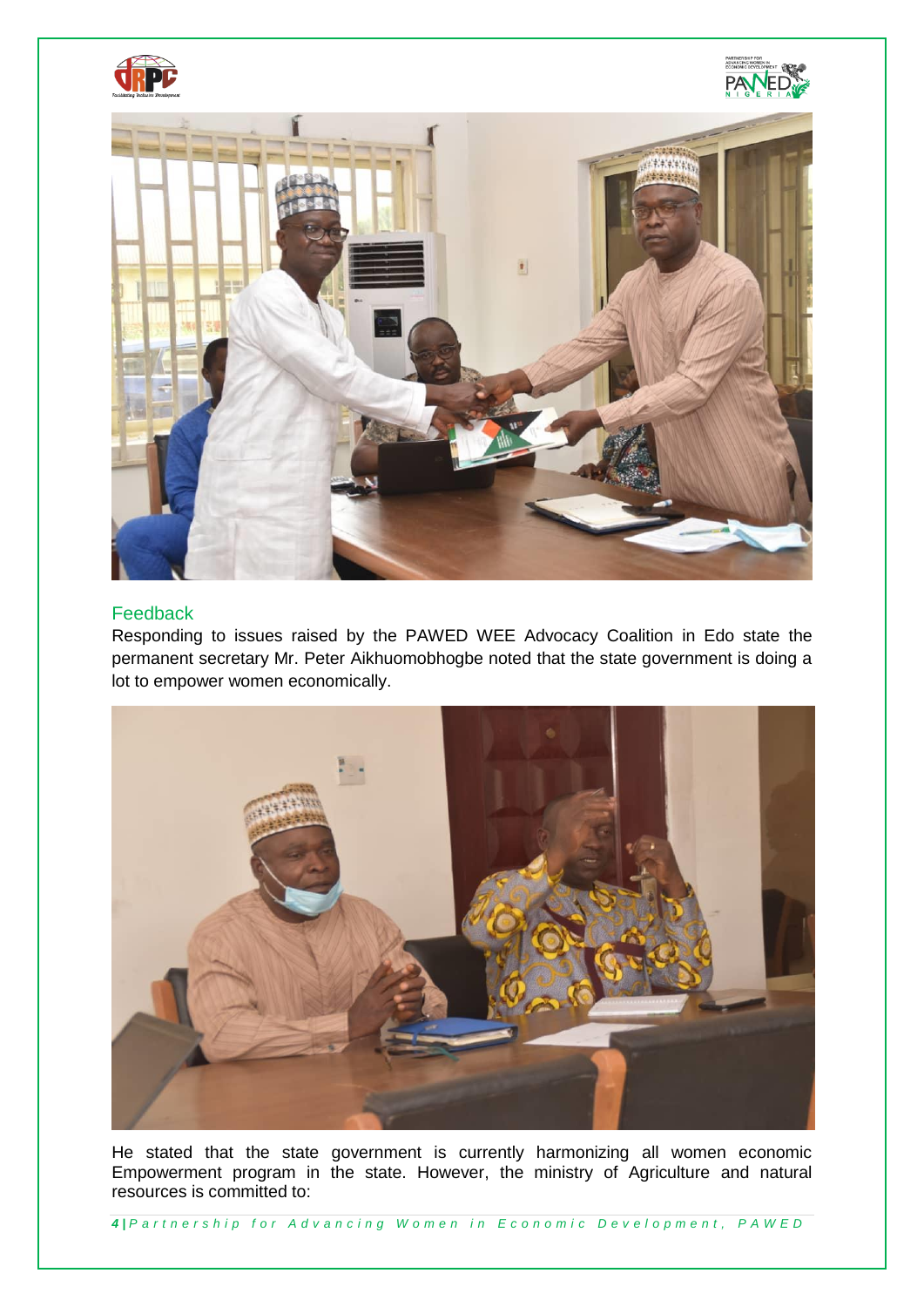



### <span id="page-3-0"></span>Feedback

Responding to issues raised by the PAWED WEE Advocacy Coalition in Edo state the permanent secretary Mr. Peter Aikhuomobhogbe noted that the state government is doing a lot to empower women economically.



He stated that the state government is currently harmonizing all women economic Empowerment program in the state. However, the ministry of Agriculture and natural resources is committed to:

*4 | P a r t n e r s h i p f o r A d v a n c i n g W o m e n i n E c o n o m i c D e v e l o p m e n t , P A W E D*